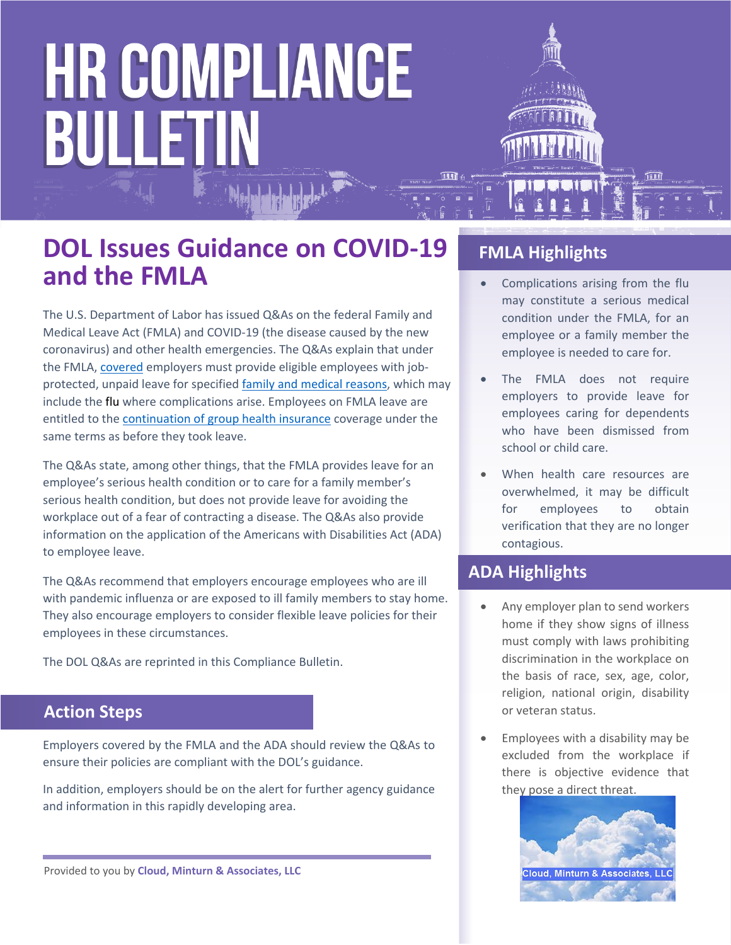

- Complications arising from the flu may constitute a serious medical condition under the FMLA, for an employee or a family member the employee is needed to care for.
- The FMLA does not require employers to provide leave for employees caring for dependents who have been dismissed from school or child care.
- When health care resources are overwhelmed, it may be difficult for employees to obtain verification that they are no longer contagious.

#### **ADA Highlights**

- Any employer plan to send workers home if they show signs of illness must comply with laws prohibiting discrimination in the workplace on the basis of race, sex, age, color, religion, national origin, disability or veteran status.
- Employees with a disability may be excluded from the workplace if there is objective evidence that they pose a direct threat.



### **DOL Issues Guidance on COVID-19 and the FMLA**

The U.S. Department of Labor has issued Q&As on the federal Family and Medical Leave Act (FMLA) and COVID-19 (the disease caused by the new coronavirus) and other health emergencies. The Q&As explain that under the FMLA, [covered](https://www.dol.gov/agencies/whd/fmla/faq#2) employers must provide eligible employees with jobprotected, unpaid leave for specified [family and medical reasons](https://www.dol.gov/agencies/whd/fmla/faq#6), which may include the flu where complications arise. Employees on FMLA leave are entitled to the [continuation of group health insurance](https://www.dol.gov/agencies/whd/fmla/faq#1) coverage under the same terms as before they took leave.

The Q&As state, among other things, that the FMLA provides leave for an employee's serious health condition or to care for a family member's serious health condition, but does not provide leave for avoiding the workplace out of a fear of contracting a disease. The Q&As also provide information on the application of the Americans with Disabilities Act (ADA) to employee leave.

The Q&As recommend that employers encourage employees who are ill with pandemic influenza or are exposed to ill family members to stay home. They also encourage employers to consider flexible leave policies for their employees in these circumstances.

The DOL Q&As are reprinted in this Compliance Bulletin.

#### **Action Steps**

Employers covered by the FMLA and the ADA should review the Q&As to ensure their policies are compliant with the DOL's guidance.

In addition, employers should be on the alert for further agency guidance and information in this rapidly developing area.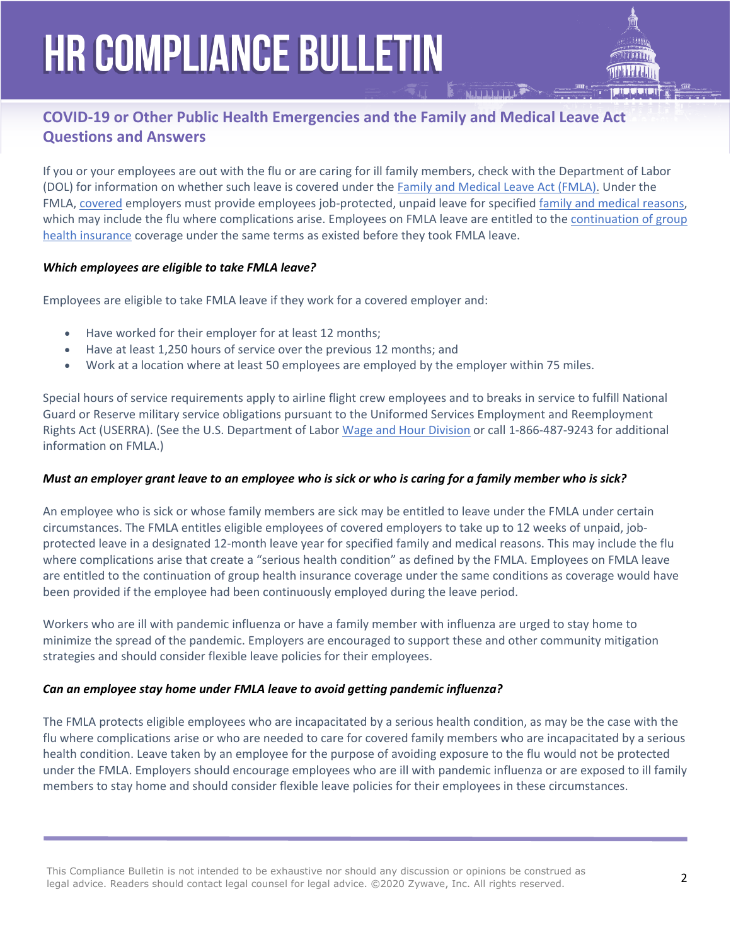#### **COVID-19 or Other Public Health Emergencies and the Family and Medical Leave Act Questions and Answers**

If you or your employees are out with the flu or are caring for ill family members, check with the Department of Labor (DOL) for information on whether such leave is covered under the [Family and Medical Leave Act \(FMLA\).](https://www.dol.gov/agencies/whd/fmla) Under the FMLA, [covered](https://www.dol.gov/agencies/whd/fmla/faq#2) employers must provide employees job-protected, unpaid leave for specified [family and medical reasons](https://www.dol.gov/agencies/whd/fmla/faq#6), which may include the [flu](https://www.dol.gov/whd/opinion/FMLA/prior2002/FMLA-87.htm) where complications arise. Employees on FMLA leave are entitled to the [continuation of group](https://www.dol.gov/agencies/whd/fmla/faq#1)  [health insurance](https://www.dol.gov/agencies/whd/fmla/faq#1) coverage under the same terms as existed before they took FMLA leave.

#### *Which employees are eligible to take FMLA leave?*

Employees are eligible to take FMLA leave if they work for a covered employer and:

- Have worked for their employer for at least 12 months;
- Have at least 1,250 hours of service over the previous 12 months; and
- Work at a location where at least 50 employees are employed by the employer within 75 miles.

Special hours of service requirements apply to airline flight crew employees and to breaks in service to fulfill National Guard or Reserve military service obligations pursuant to the Uniformed Services Employment and Reemployment Rights Act (USERRA). (See the U.S. Department of Labor [Wage and Hour Division](https://www.dol.gov/agencies/whd/contact/local-offices) or call 1-866-487-9243 for additional information on FMLA.)

#### *Must an employer grant leave to an employee who is sick or who is caring for a family member who is sick?*

An employee who is sick or whose family members are sick may be entitled to leave under the FMLA under certain circumstances. The FMLA entitles eligible employees of covered employers to take up to 12 weeks of unpaid, jobprotected leave in a designated 12-month leave year for specified family and medical reasons. This may include the flu where complications arise that create a "serious health condition" as defined by the FMLA. Employees on FMLA leave are entitled to the continuation of group health insurance coverage under the same conditions as coverage would have been provided if the employee had been continuously employed during the leave period.

Workers who are ill with pandemic influenza or have a family member with influenza are urged to stay home to minimize the spread of the pandemic. Employers are encouraged to support these and other community mitigation strategies and should consider flexible leave policies for their employees.

#### *Can an employee stay home under FMLA leave to avoid getting pandemic influenza?*

The FMLA protects eligible employees who are incapacitated by a serious health condition, as may be the case with the flu where complications arise or who are needed to care for covered family members who are incapacitated by a serious health condition. Leave taken by an employee for the purpose of avoiding exposure to the flu would not be protected under the FMLA. Employers should encourage employees who are ill with pandemic influenza or are exposed to ill family members to stay home and should consider flexible leave policies for their employees in these circumstances.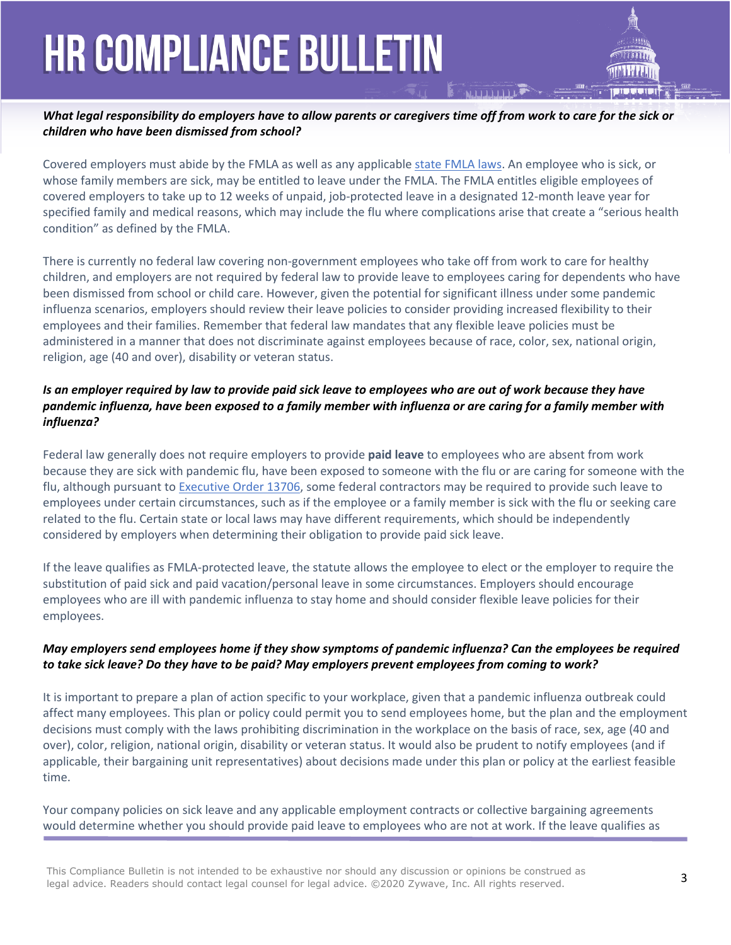#### *What legal responsibility do employers have to allow parents or caregivers time off from work to care for the sick or children who have been dismissed from school?*

Covered employers must abide by the FMLA as well as any applicable [state FMLA laws](https://www.dol.gov/whd/state/fmla/index.htm). An employee who is sick, or whose family members are sick, may be entitled to leave under the FMLA. The FMLA entitles eligible employees of covered employers to take up to 12 weeks of unpaid, job-protected leave in a designated 12-month leave year for specified family and medical reasons, which may include the flu where complications arise that create a "serious health condition" as defined by the FMLA.

There is currently no federal law covering non-government employees who take off from work to care for healthy children, and employers are not required by federal law to provide leave to employees caring for dependents who have been dismissed from school or child care. However, given the potential for significant illness under some pandemic influenza scenarios, employers should review their leave policies to consider providing increased flexibility to their employees and their families. Remember that federal law mandates that any flexible leave policies must be administered in a manner that does not discriminate against employees because of race, color, sex, national origin, religion, age (40 and over), disability or veteran status.

#### *Is an employer required by law to provide paid sick leave to employees who are out of work because they have pandemic influenza, have been exposed to a family member with influenza or are caring for a family member with influenza?*

Federal law generally does not require employers to provide **paid leave** to employees who are absent from work because they are sick with pandemic flu, have been exposed to someone with the flu or are caring for someone with the flu, although pursuant to [Executive Order 13706,](https://www.dol.gov/agencies/whd/government-contracts/sick-leave) some federal contractors may be required to provide such leave to employees under certain circumstances, such as if the employee or a family member is sick with the flu or seeking care related to the flu. Certain state or local laws may have different requirements, which should be independently considered by employers when determining their obligation to provide paid sick leave.

If the leave qualifies as FMLA-protected leave, the statute allows the employee to elect or the employer to require the substitution of paid sick and paid vacation/personal leave in some circumstances. Employers should encourage employees who are ill with pandemic influenza to stay home and should consider flexible leave policies for their employees.

#### *May employers send employees home if they show symptoms of pandemic influenza? Can the employees be required to take sick leave? Do they have to be paid? May employers prevent employees from coming to work?*

It is important to prepare a plan of action specific to your workplace, given that a pandemic influenza outbreak could affect many employees. This plan or policy could permit you to send employees home, but the plan and the employment decisions must comply with the laws prohibiting discrimination in the workplace on the basis of race, sex, age (40 and over), color, religion, national origin, disability or veteran status. It would also be prudent to notify employees (and if applicable, their bargaining unit representatives) about decisions made under this plan or policy at the earliest feasible time.

Your company policies on sick leave and any applicable employment contracts or collective bargaining agreements would determine whether you should provide paid leave to employees who are not at work. If the leave qualifies as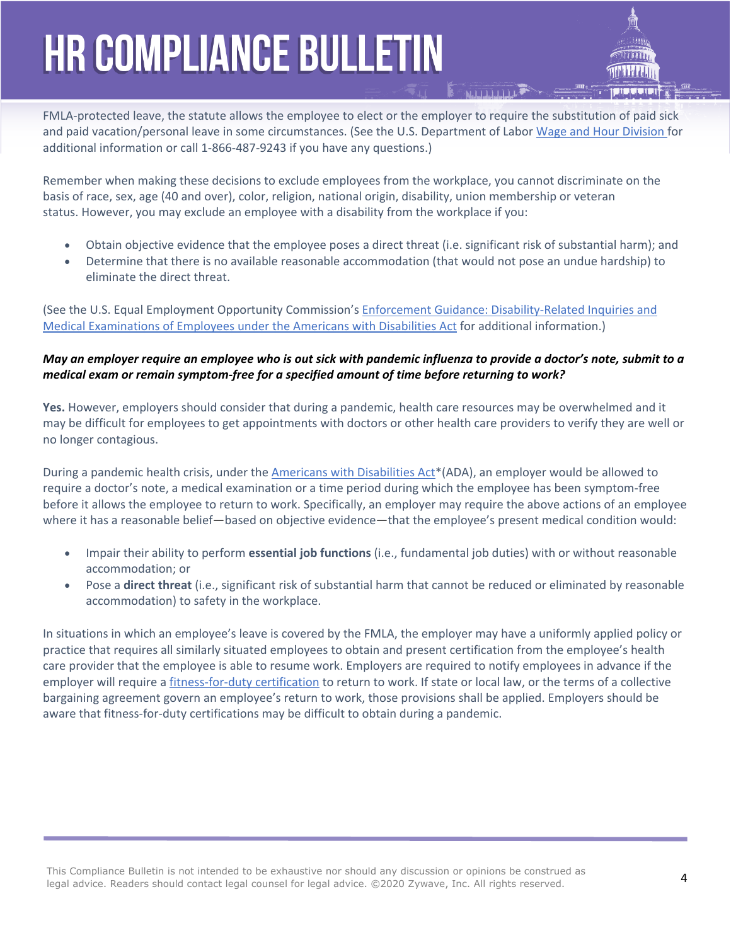

FMLA-protected leave, the statute allows the employee to elect or the employer to require the substitution of paid sick and paid vacation/personal leave in some circumstances. (See the U.S. Department of Labor [Wage and Hour Division](https://www.dol.gov/agencies/whd/contact) for additional information or call 1-866-487-9243 if you have any questions.)

Remember when making these decisions to exclude employees from the workplace, you cannot discriminate on the basis of race, sex, age (40 and over), color, religion, national origin, disability, union membership or veteran status. However, you may exclude an employee with a disability from the workplace if you:

- Obtain objective evidence that the employee poses a direct threat (i.e. significant risk of substantial harm); and
- Determine that there is no available reasonable accommodation (that would not pose an undue hardship) to eliminate the direct threat.

(See the U.S. Equal Employment Opportunity Commission's [Enforcement Guidance: Disability-Related Inquiries and](http://www.eeoc.gov/policy/docs/qanda-inquiries.html)  [Medical Examinations of Employees under the Americans with Disabilities Act](http://www.eeoc.gov/policy/docs/qanda-inquiries.html) for additional information.)

#### *May an employer require an employee who is out sick with pandemic influenza to provide a doctor's note, submit to a medical exam or remain symptom-free for a specified amount of time before returning to work?*

**Yes.** However, employers should consider that during a pandemic, health care resources may be overwhelmed and it may be difficult for employees to get appointments with doctors or other health care providers to verify they are well or no longer contagious.

During a pandemic health crisis, under the [Americans with Disabilities Act\\*](http://www.eeoc.gov/policy/ada.html)(ADA), an employer would be allowed to require a doctor's note, a medical examination or a time period during which the employee has been symptom-free before it allows the employee to return to work. Specifically, an employer may require the above actions of an employee where it has a reasonable belief—based on objective evidence—that the employee's present medical condition would:

- Impair their ability to perform **essential job functions** (i.e., fundamental job duties) with or without reasonable accommodation; or
- Pose a **direct threat** (i.e., significant risk of substantial harm that cannot be reduced or eliminated by reasonable accommodation) to safety in the workplace.

In situations in which an employee's leave is covered by the FMLA, the employer may have a uniformly applied policy or practice that requires all similarly situated employees to obtain and present certification from the employee's health care provider that the employee is able to resume work. Employers are required to notify employees in advance if the employer will require a *fitness-for-duty certification* to return to work. If state or local law, or the terms of a collective bargaining agreement govern an employee's return to work, those provisions shall be applied. Employers should be aware that fitness-for-duty certifications may be difficult to obtain during a pandemic.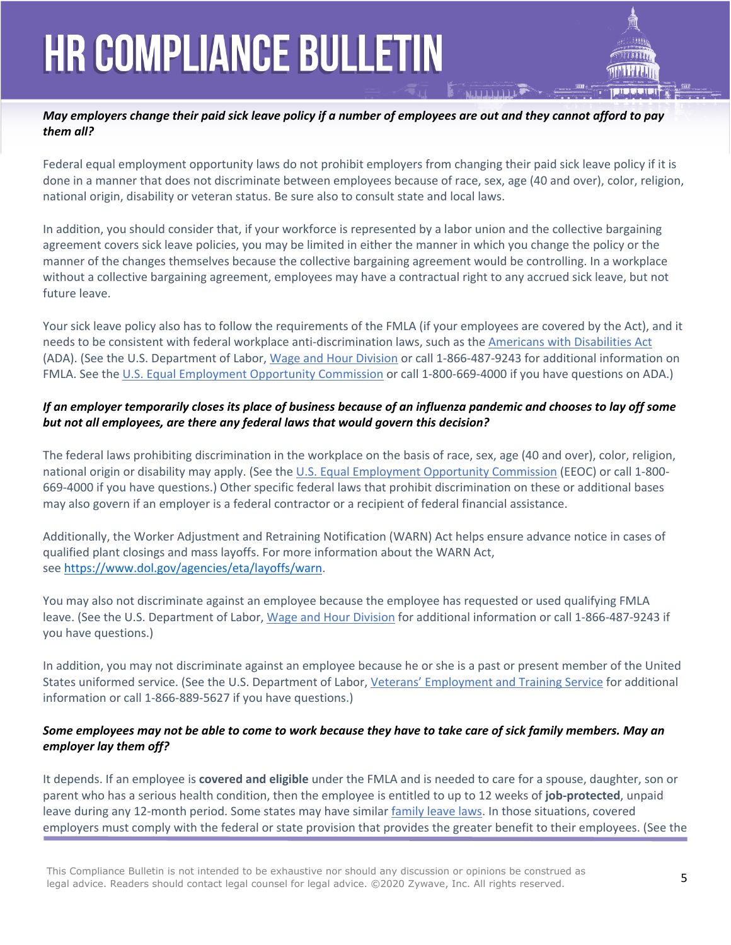#### *May employers change their paid sick leave policy if a number of employees are out and they cannot afford to pay them all?*

Federal equal employment opportunity laws do not prohibit employers from changing their paid sick leave policy if it is done in a manner that does not discriminate between employees because of race, sex, age (40 and over), color, religion, national origin, disability or veteran status. Be sure also to consult state and local laws.

In addition, you should consider that, if your workforce is represented by a labor union and the collective bargaining agreement covers sick leave policies, you may be limited in either the manner in which you change the policy or the manner of the changes themselves because the collective bargaining agreement would be controlling. In a workplace without a collective bargaining agreement, employees may have a contractual right to any accrued sick leave, but not future leave.

Your sick leave policy also has to follow the requirements of the FMLA (if your employees are covered by the Act), and it needs to be consistent with federal workplace anti-discrimination laws, such as the [Americans with Disabilities Act](http://www.eeoc.gov/policy/ada.html) (ADA). (See the U.S. Department of Labor, [Wage and Hour Division](https://www.dol.gov/agencies/whd/contact/local-offices) or call 1-866-487-9243 for additional information on FMLA. See the [U.S. Equal Employment Opportunity Commission](http://www.eeoc.gov/) or call 1-800-669-4000 if you have questions on ADA.)

#### *If an employer temporarily closes its place of business because of an influenza pandemic and chooses to lay off some but not all employees, are there any federal laws that would govern this decision?*

The federal laws prohibiting discrimination in the workplace on the basis of race, sex, age (40 and over), color, religion, national origin or disability may apply. (See the [U.S. Equal Employment Opportunity Commission](http://www.eeoc.gov/) (EEOC) or call 1-800- 669-4000 if you have questions.) Other specific federal laws that prohibit discrimination on these or additional bases may also govern if an employer is a federal contractor or a recipient of federal financial assistance.

Additionally, the Worker Adjustment and Retraining Notification (WARN) Act helps ensure advance notice in cases of qualified plant closings and mass layoffs. For more information about the WARN Act, see <https://www.dol.gov/agencies/eta/layoffs/warn>.

You may also not discriminate against an employee because the employee has requested or used qualifying FMLA leave. (See the U.S. Department of Labor, [Wage and Hour Division](https://www.dol.gov/agencies/whd/fmla) for additional information or call 1-866-487-9243 if you have questions.)

In addition, you may not discriminate against an employee because he or she is a past or present member of the United States uniformed service. (See the U.S. Department of Labor, [Veterans' Employment and Training Service](https://www.dol.gov/vets/) for additional information or call 1-866-889-5627 if you have questions.)

#### *Some employees may not be able to come to work because they have to take care of sick family members. May an employer lay them off?*

It depends. If an employee is **covered and eligible** under the FMLA and is needed to care for a spouse, daughter, son or parent who has a serious health condition, then the employee is entitled to up to 12 weeks of **job-protected**, unpaid leave during any 12-month period. Some states may have similar [family leave laws](https://www.dol.gov/whd/state/fmla/index.htm). In those situations, covered employers must comply with the federal or state provision that provides the greater benefit to their employees. (See the